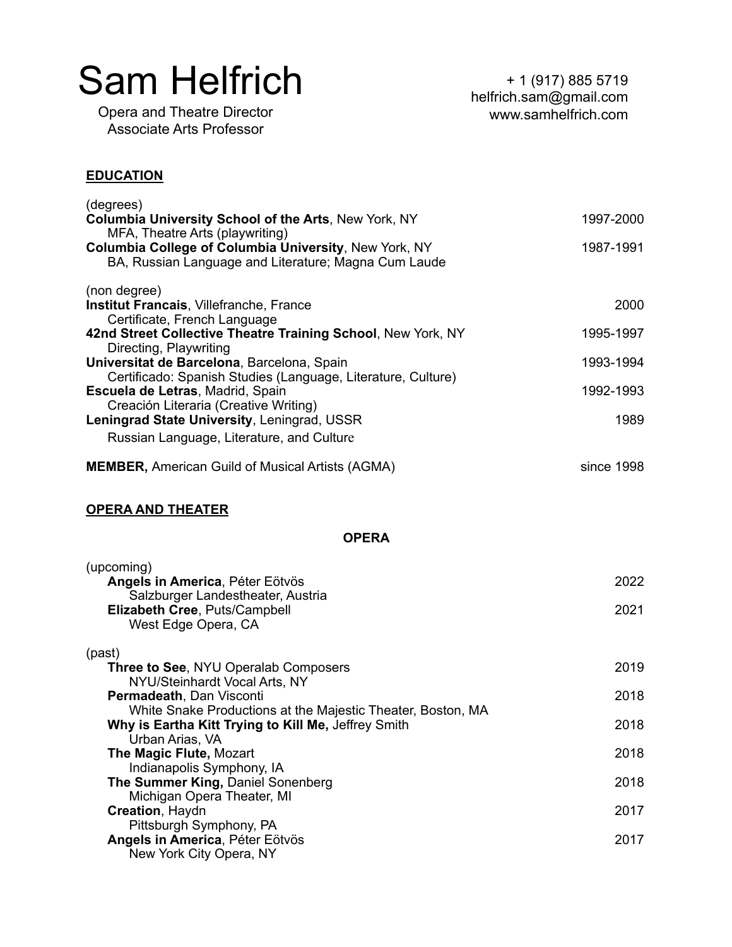Opera and Theatre Director Associate Arts Professor

# **EDUCATION**

| (degrees)                                                    |            |
|--------------------------------------------------------------|------------|
| Columbia University School of the Arts, New York, NY         | 1997-2000  |
| MFA, Theatre Arts (playwriting)                              |            |
| <b>Columbia College of Columbia University, New York, NY</b> | 1987-1991  |
| BA, Russian Language and Literature; Magna Cum Laude         |            |
| (non degree)                                                 |            |
| <b>Institut Francais, Villefranche, France</b>               | 2000       |
| Certificate, French Language                                 |            |
| 42nd Street Collective Theatre Training School, New York, NY | 1995-1997  |
| Directing, Playwriting                                       |            |
| Universitat de Barcelona, Barcelona, Spain                   | 1993-1994  |
| Certificado: Spanish Studies (Language, Literature, Culture) |            |
| Escuela de Letras, Madrid, Spain                             | 1992-1993  |
| Creación Literaria (Creative Writing)                        |            |
| Leningrad State University, Leningrad, USSR                  | 1989       |
| Russian Language, Literature, and Culture                    |            |
| <b>MEMBER, American Guild of Musical Artists (AGMA)</b>      | since 1998 |

# **OPERA AND THEATER**

# **OPERA**

| (upcoming)                                                  |      |
|-------------------------------------------------------------|------|
| Angels in America, Péter Eötvös                             | 2022 |
| Salzburger Landestheater, Austria                           |      |
| Elizabeth Cree, Puts/Campbell                               | 2021 |
| West Edge Opera, CA                                         |      |
| (past)                                                      |      |
| <b>Three to See, NYU Operalab Composers</b>                 | 2019 |
| NYU/Steinhardt Vocal Arts, NY                               |      |
| <b>Permadeath, Dan Visconti</b>                             | 2018 |
| White Snake Productions at the Majestic Theater, Boston, MA |      |
| Why is Eartha Kitt Trying to Kill Me, Jeffrey Smith         | 2018 |
| Urban Arias, VA                                             |      |
| The Magic Flute, Mozart                                     | 2018 |
| Indianapolis Symphony, IA                                   |      |
| The Summer King, Daniel Sonenberg                           | 2018 |
| Michigan Opera Theater, MI                                  |      |
| Creation, Haydn                                             | 2017 |
| Pittsburgh Symphony, PA                                     |      |
| Angels in America, Péter Eötvös                             | 2017 |
| New York City Opera, NY                                     |      |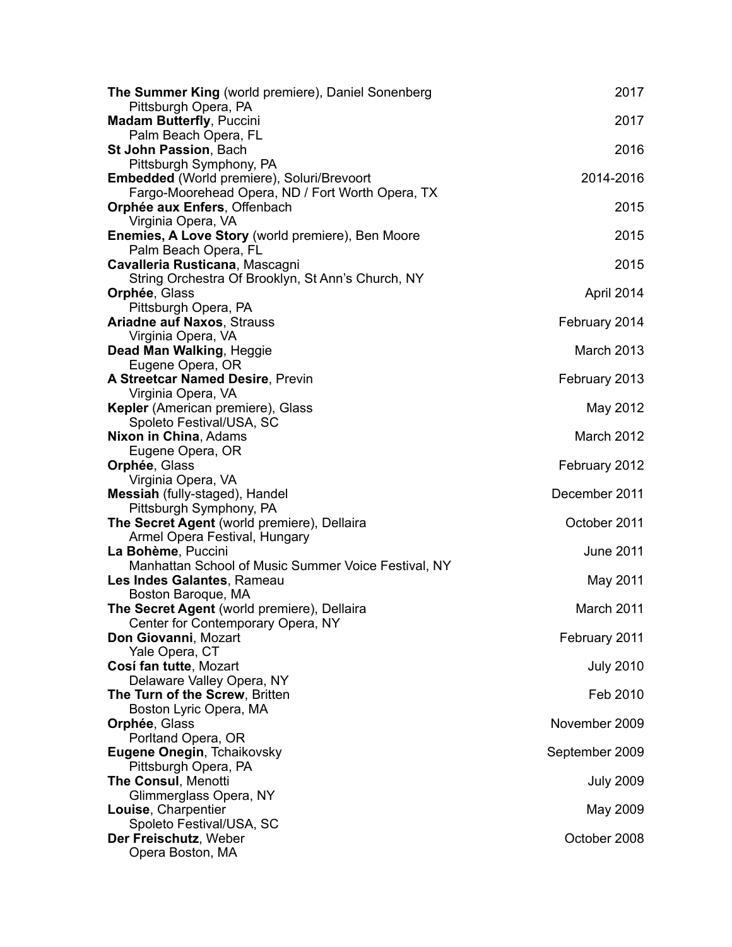| The Summer King (world premiere), Daniel Sonenberg      | 2017             |
|---------------------------------------------------------|------------------|
| Pittsburgh Opera, PA<br><b>Madam Butterfly, Puccini</b> | 2017             |
| Palm Beach Opera, FL                                    |                  |
| St John Passion, Bach                                   | 2016             |
| Pittsburgh Symphony, PA                                 |                  |
| Embedded (World premiere), Soluri/Brevoort              | 2014-2016        |
| Fargo-Moorehead Opera, ND / Fort Worth Opera, TX        |                  |
| Orphée aux Enfers, Offenbach<br>Virginia Opera, VA      | 2015             |
| Enemies, A Love Story (world premiere), Ben Moore       | 2015             |
| Palm Beach Opera, FL                                    |                  |
| Cavalleria Rusticana, Mascagni                          | 2015             |
| String Orchestra Of Brooklyn, St Ann's Church, NY       |                  |
| Orphée, Glass                                           | April 2014       |
| Pittsburgh Opera, PA                                    |                  |
| <b>Ariadne auf Naxos, Strauss</b><br>Virginia Opera, VA | February 2014    |
| Dead Man Walking, Heggie                                | March 2013       |
| Eugene Opera, OR                                        |                  |
| <b>A Streetcar Named Desire, Previn</b>                 | February 2013    |
| Virginia Opera, VA                                      |                  |
| Kepler (American premiere), Glass                       | May 2012         |
| Spoleto Festival/USA, SC                                | March 2012       |
| Nixon in China, Adams<br>Eugene Opera, OR               |                  |
| Orphée, Glass                                           | February 2012    |
| Virginia Opera, VA                                      |                  |
| Messiah (fully-staged), Handel                          | December 2011    |
| Pittsburgh Symphony, PA                                 |                  |
| The Secret Agent (world premiere), Dellaira             | October 2011     |
| Armel Opera Festival, Hungary<br>La Bohème, Puccini     | <b>June 2011</b> |
| Manhattan School of Music Summer Voice Festival, NY     |                  |
| Les Indes Galantes, Rameau                              | May 2011         |
| Boston Baroque, MA                                      |                  |
| The Secret Agent (world premiere), Dellaira             | March 2011       |
| Center for Contemporary Opera, NY                       |                  |
| Don Giovanni, Mozart                                    | February 2011    |
| Yale Opera, CT<br>Cosí fan tutte, Mozart                | <b>July 2010</b> |
| Delaware Valley Opera, NY                               |                  |
| The Turn of the Screw, Britten                          | Feb 2010         |
| Boston Lyric Opera, MA                                  |                  |
| Orphée, Glass                                           | November 2009    |
| Porltand Opera, OR                                      |                  |
| Eugene Onegin, Tchaikovsky<br>Pittsburgh Opera, PA      | September 2009   |
| <b>The Consul, Menotti</b>                              | <b>July 2009</b> |
| Glimmerglass Opera, NY                                  |                  |
| Louise, Charpentier                                     | May 2009         |
| Spoleto Festival/USA, SC                                |                  |
| Der Freischutz, Weber                                   | October 2008     |
| Opera Boston, MA                                        |                  |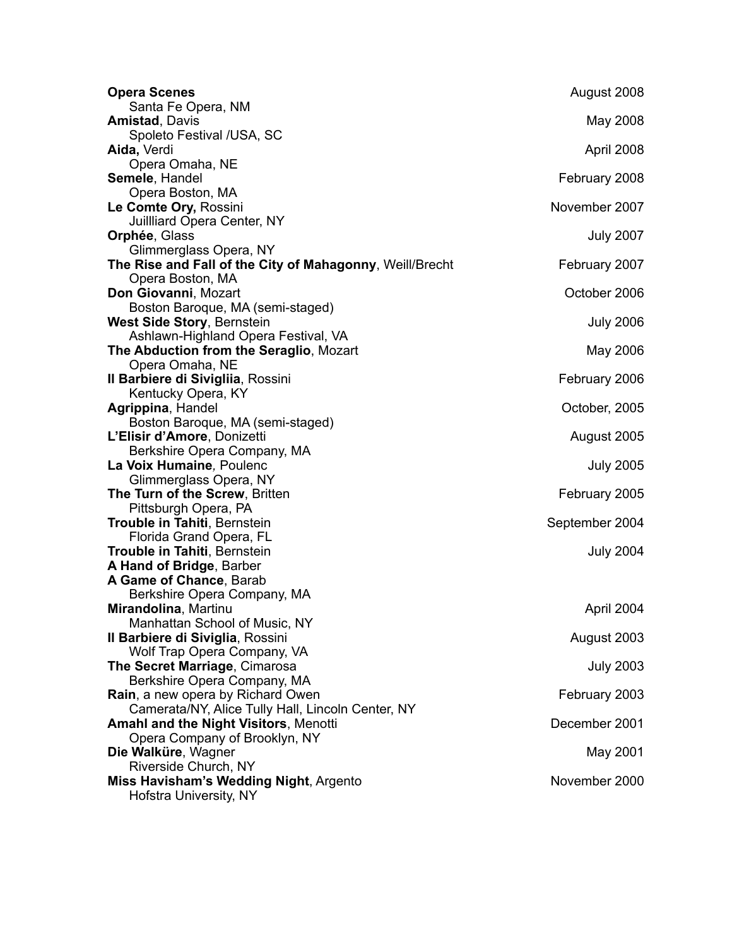| <b>Opera Scenes</b>                                        | August 2008      |
|------------------------------------------------------------|------------------|
| Santa Fe Opera, NM                                         |                  |
| <b>Amistad, Davis</b>                                      | May 2008         |
| Spoleto Festival /USA, SC<br>Aida, Verdi                   | April 2008       |
| Opera Omaha, NE                                            |                  |
| Semele, Handel                                             | February 2008    |
| Opera Boston, MA                                           |                  |
| Le Comte Ory, Rossini                                      | November 2007    |
| Juillliard Opera Center, NY                                |                  |
| Orphée, Glass                                              | <b>July 2007</b> |
| Glimmerglass Opera, NY                                     |                  |
| The Rise and Fall of the City of Mahagonny, Weill/Brecht   | February 2007    |
| Opera Boston, MA                                           |                  |
| Don Giovanni, Mozart                                       | October 2006     |
| Boston Baroque, MA (semi-staged)                           |                  |
| <b>West Side Story, Bernstein</b>                          | <b>July 2006</b> |
| Ashlawn-Highland Opera Festival, VA                        |                  |
| The Abduction from the Seraglio, Mozart<br>Opera Omaha, NE | May 2006         |
| Il Barbiere di Sivigliia, Rossini                          | February 2006    |
| Kentucky Opera, KY                                         |                  |
| Agrippina, Handel                                          | October, 2005    |
| Boston Baroque, MA (semi-staged)                           |                  |
| L'Elisir d'Amore, Donizetti                                | August 2005      |
| Berkshire Opera Company, MA                                |                  |
| La Voix Humaine, Poulenc                                   | <b>July 2005</b> |
| Glimmerglass Opera, NY                                     |                  |
| The Turn of the Screw, Britten                             | February 2005    |
| Pittsburgh Opera, PA                                       |                  |
| Trouble in Tahiti, Bernstein                               | September 2004   |
| Florida Grand Opera, FL                                    |                  |
| Trouble in Tahiti, Bernstein<br>A Hand of Bridge, Barber   | <b>July 2004</b> |
| A Game of Chance, Barab                                    |                  |
| Berkshire Opera Company, MA                                |                  |
| Mirandolina, Martinu                                       | April 2004       |
| Manhattan School of Music, NY                              |                  |
| Il Barbiere di Siviglia, Rossini                           | August 2003      |
| Wolf Trap Opera Company, VA                                |                  |
| The Secret Marriage, Cimarosa                              | <b>July 2003</b> |
| Berkshire Opera Company, MA                                |                  |
| Rain, a new opera by Richard Owen                          | February 2003    |
| Camerata/NY, Alice Tully Hall, Lincoln Center, NY          |                  |
| Amahl and the Night Visitors, Menotti                      | December 2001    |
| Opera Company of Brooklyn, NY                              |                  |
| Die Walküre, Wagner<br>Riverside Church, NY                | May 2001         |
| Miss Havisham's Wedding Night, Argento                     | November 2000    |
| Hofstra University, NY                                     |                  |
|                                                            |                  |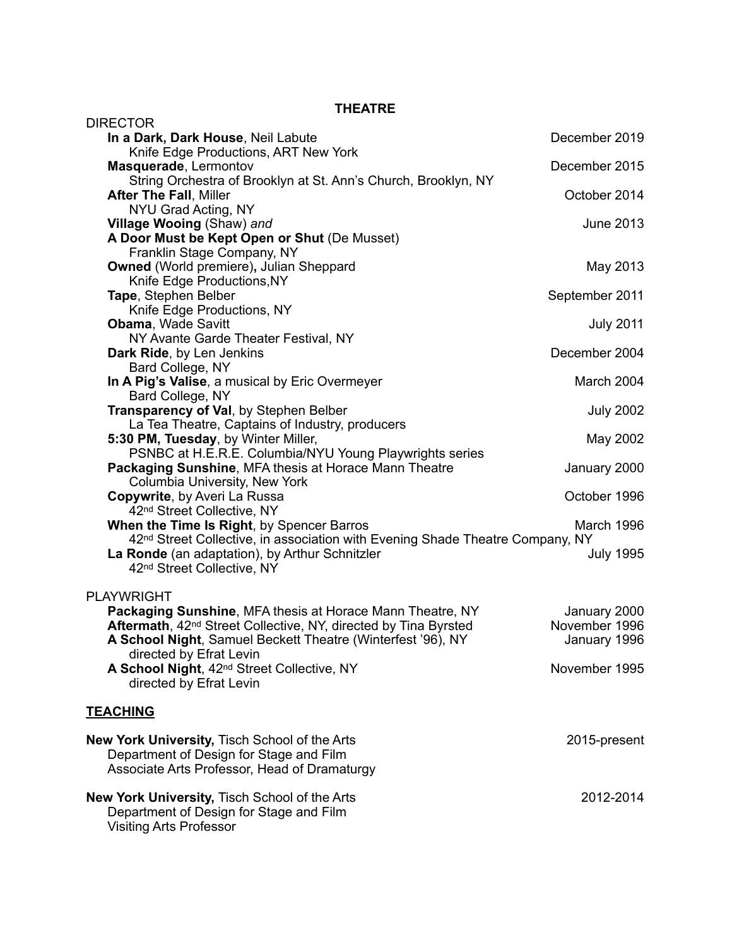**THEATRE** 

| DIRECTOR                                                                                                                                 |                               |
|------------------------------------------------------------------------------------------------------------------------------------------|-------------------------------|
| In a Dark, Dark House, Neil Labute                                                                                                       | December 2019                 |
| Knife Edge Productions, ART New York                                                                                                     |                               |
| Masquerade, Lermontov<br>String Orchestra of Brooklyn at St. Ann's Church, Brooklyn, NY                                                  | December 2015                 |
| <b>After The Fall, Miller</b>                                                                                                            | October 2014                  |
| NYU Grad Acting, NY                                                                                                                      |                               |
| Village Wooing (Shaw) and                                                                                                                | June 2013                     |
| A Door Must be Kept Open or Shut (De Musset)                                                                                             |                               |
| Franklin Stage Company, NY                                                                                                               |                               |
| <b>Owned</b> (World premiere), Julian Sheppard                                                                                           | May 2013                      |
| Knife Edge Productions, NY                                                                                                               |                               |
| Tape, Stephen Belber                                                                                                                     | September 2011                |
| Knife Edge Productions, NY<br><b>Obama, Wade Savitt</b>                                                                                  | <b>July 2011</b>              |
| NY Avante Garde Theater Festival, NY                                                                                                     |                               |
| Dark Ride, by Len Jenkins                                                                                                                | December 2004                 |
| Bard College, NY                                                                                                                         |                               |
| In A Pig's Valise, a musical by Eric Overmeyer                                                                                           | March 2004                    |
| Bard College, NY                                                                                                                         |                               |
| Transparency of Val, by Stephen Belber                                                                                                   | <b>July 2002</b>              |
| La Tea Theatre, Captains of Industry, producers                                                                                          |                               |
| 5:30 PM, Tuesday, by Winter Miller,                                                                                                      | May 2002                      |
| PSNBC at H.E.R.E. Columbia/NYU Young Playwrights series                                                                                  |                               |
| Packaging Sunshine, MFA thesis at Horace Mann Theatre<br>Columbia University, New York                                                   | January 2000                  |
| Copywrite, by Averi La Russa                                                                                                             | October 1996                  |
| 42nd Street Collective, NY                                                                                                               |                               |
| When the Time Is Right, by Spencer Barros                                                                                                | March 1996                    |
| 42 <sup>nd</sup> Street Collective, in association with Evening Shade Theatre Company, NY                                                |                               |
| La Ronde (an adaptation), by Arthur Schnitzler                                                                                           | <b>July 1995</b>              |
| 42nd Street Collective, NY                                                                                                               |                               |
|                                                                                                                                          |                               |
| <b>PLAYWRIGHT</b>                                                                                                                        |                               |
| Packaging Sunshine, MFA thesis at Horace Mann Theatre, NY<br>Aftermath, 42 <sup>nd</sup> Street Collective, NY, directed by Tina Byrsted | January 2000<br>November 1996 |
| A School Night, Samuel Beckett Theatre (Winterfest '96), NY                                                                              | January 1996                  |
| directed by Efrat Levin                                                                                                                  |                               |
| A School Night, 42 <sup>nd</sup> Street Collective, NY                                                                                   | November 1995                 |
| directed by Efrat Levin                                                                                                                  |                               |
|                                                                                                                                          |                               |
| <u>TEACHING</u>                                                                                                                          |                               |
| <b>New York University, Tisch School of the Arts</b>                                                                                     | 2015-present                  |
| Department of Design for Stage and Film                                                                                                  |                               |
| Associate Arts Professor, Head of Dramaturgy                                                                                             |                               |
|                                                                                                                                          |                               |
| New York University, Tisch School of the Arts                                                                                            | 2012-2014                     |
| Department of Design for Stage and Film                                                                                                  |                               |
| <b>Visiting Arts Professor</b>                                                                                                           |                               |